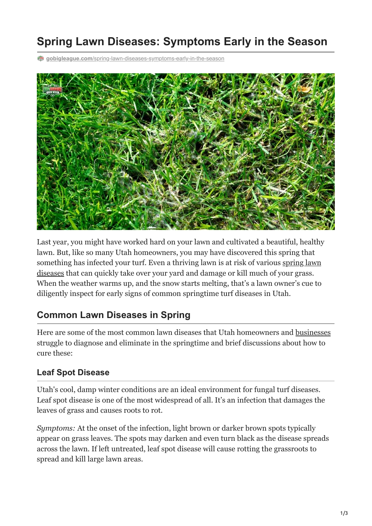# **Spring Lawn Diseases: Symptoms Early in the Season**

**gobigleague.com**[/spring-lawn-diseases-symptoms-early-in-the-season](https://gobigleague.com/spring-lawn-diseases-symptoms-early-in-the-season/)



Last year, you might have worked hard on your lawn and cultivated a beautiful, healthy lawn. But, like so many Utah homeowners, you may have discovered this spring that [something has infected your turf. Even a thriving lawn is at risk of various spring lawn](https://gobigleague.com/residential-lawn-care-utah/) diseases that can quickly take over your yard and damage or kill much of your grass. When the weather warms up, and the snow starts melting, that's a lawn owner's cue to diligently inspect for early signs of common springtime turf diseases in Utah.

#### **Common Lawn Diseases in Spring**

Here are some of the most common lawn diseases that Utah homeowners and [businesses](https://gobigleague.com/commercial-lawn-care/) struggle to diagnose and eliminate in the springtime and brief discussions about how to cure these:

#### **Leaf Spot Disease**

Utah's cool, damp winter conditions are an ideal environment for fungal turf diseases. Leaf spot disease is one of the most widespread of all. It's an infection that damages the leaves of grass and causes roots to rot.

*Symptoms:* At the onset of the infection, light brown or darker brown spots typically appear on grass leaves. The spots may darken and even turn black as the disease spreads across the lawn. If left untreated, leaf spot disease will cause rotting the grassroots to spread and kill large lawn areas.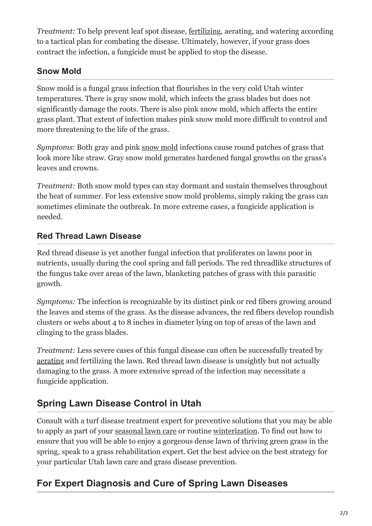*Treatment:* To help prevent leaf spot disease, [fertilizing](https://gobigleague.com/lawn-fertilization-services-utah/), aerating, and watering according to a tactical plan for combating the disease. Ultimately, however, if your grass does contract the infection, a fungicide must be applied to stop the disease.

#### **Snow Mold**

Snow mold is a fungal grass infection that flourishes in the very cold Utah winter temperatures. There is gray snow mold, which infects the grass blades but does not significantly damage the roots. There is also pink snow mold, which affects the entire grass plant. That extent of infection makes pink snow mold more difficult to control and more threatening to the life of the grass.

*Symptoms*: Both gray and pink [snow mold](https://gobigleague.com/5-things-to-know-about-snow-mold/) infections cause round patches of grass that look more like straw. Gray snow mold generates hardened fungal growths on the grass's leaves and crowns.

*Treatment:* Both snow mold types can stay dormant and sustain themselves throughout the heat of summer. For less extensive snow mold problems, simply raking the grass can sometimes eliminate the outbreak. In more extreme cases, a fungicide application is needed.

#### **Red Thread Lawn Disease**

Red thread disease is yet another fungal infection that proliferates on lawns poor in nutrients, usually during the cool spring and fall periods. The red threadlike structures of the fungus take over areas of the lawn, blanketing patches of grass with this parasitic growth.

*Symptoms:* The infection is recognizable by its distinct pink or red fibers growing around the leaves and stems of the grass. As the disease advances, the red fibers develop roundish clusters or webs about 4 to 8 inches in diameter lying on top of areas of the lawn and clinging to the grass blades.

*Treatment:* Less severe cases of this fungal disease can often be successfully treated by [aerating](https://gobigleague.com/lawn-aerator-service-utah/) and fertilizing the lawn. Red thread lawn disease is unsightly but not actually damaging to the grass. A more extensive spread of the infection may necessitate a fungicide application.

## **Spring Lawn Disease Control in Utah**

Consult with a turf disease treatment expert for preventive solutions that you may be able to apply as part of your [seasonal lawn care](https://gobigleague.com/lawn-care-packages-in-utah/) or routine [winterization.](https://gobigleague.com/lawn-winterization-utah/) To find out how to ensure that you will be able to enjoy a gorgeous dense lawn of thriving green grass in the spring, speak to a grass rehabilitation expert. Get the best advice on the best strategy for your particular Utah lawn care and grass disease prevention.

### **For Expert Diagnosis and Cure of Spring Lawn Diseases**